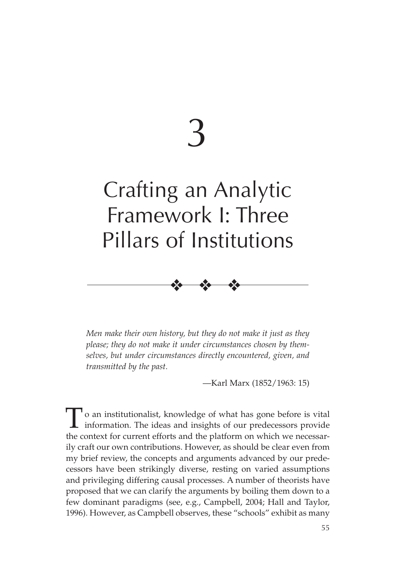# 3

# Crafting an Analytic Framework I: Three Pillars of Institutions



*Men make their own history, but they do not make it just as they please; they do not make it under circumstances chosen by themselves, but under circumstances directly encountered, given, and transmitted by the past.*

—Karl Marx (1852/1963: 15)

To an institutionalist, knowledge of what has gone before is vital information. The ideas and insights of our predecessors provide the context for current efforts and the platform on which we necessarily craft our own contributions. However, as should be clear even from my brief review, the concepts and arguments advanced by our predecessors have been strikingly diverse, resting on varied assumptions and privileging differing causal processes. A number of theorists have proposed that we can clarify the arguments by boiling them down to a few dominant paradigms (see, e.g., Campbell, 2004; Hall and Taylor, 1996). However, as Campbell observes, these "schools" exhibit as many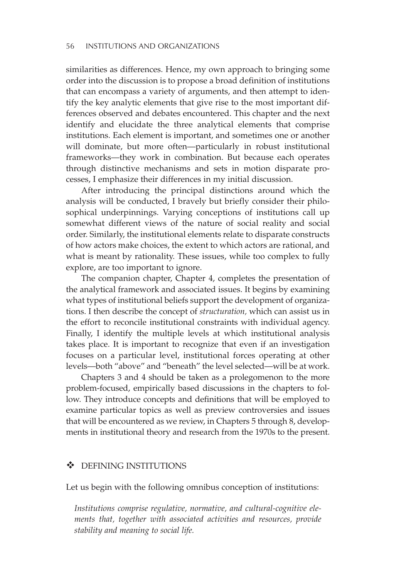similarities as differences. Hence, my own approach to bringing some order into the discussion is to propose a broad definition of institutions that can encompass a variety of arguments, and then attempt to identify the key analytic elements that give rise to the most important differences observed and debates encountered. This chapter and the next identify and elucidate the three analytical elements that comprise institutions. Each element is important, and sometimes one or another will dominate, but more often—particularly in robust institutional frameworks—they work in combination. But because each operates through distinctive mechanisms and sets in motion disparate processes, I emphasize their differences in my initial discussion.

After introducing the principal distinctions around which the analysis will be conducted, I bravely but briefly consider their philosophical underpinnings. Varying conceptions of institutions call up somewhat different views of the nature of social reality and social order. Similarly, the institutional elements relate to disparate constructs of how actors make choices, the extent to which actors are rational, and what is meant by rationality. These issues, while too complex to fully explore, are too important to ignore.

The companion chapter, Chapter 4, completes the presentation of the analytical framework and associated issues. It begins by examining what types of institutional beliefs support the development of organizations. I then describe the concept of *structuration,* which can assist us in the effort to reconcile institutional constraints with individual agency. Finally, I identify the multiple levels at which institutional analysis takes place. It is important to recognize that even if an investigation focuses on a particular level, institutional forces operating at other levels—both "above" and "beneath" the level selected—will be at work.

Chapters 3 and 4 should be taken as a prolegomenon to the more problem-focused, empirically based discussions in the chapters to follow. They introduce concepts and definitions that will be employed to examine particular topics as well as preview controversies and issues that will be encountered as we review, in Chapters 5 through 8, developments in institutional theory and research from the 1970s to the present.

# $\bullet$  DEFINING INSTITUTIONS

Let us begin with the following omnibus conception of institutions:

*Institutions comprise regulative, normative, and cultural-cognitive elements that, together with associated activities and resources, provide stability and meaning to social life.*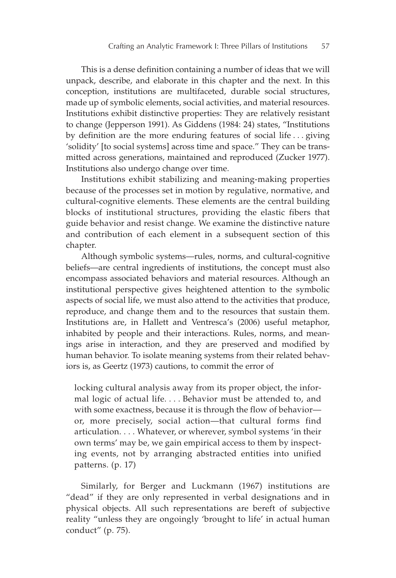This is a dense definition containing a number of ideas that we will unpack, describe, and elaborate in this chapter and the next. In this conception, institutions are multifaceted, durable social structures, made up of symbolic elements, social activities, and material resources. Institutions exhibit distinctive properties: They are relatively resistant to change (Jepperson 1991). As Giddens (1984: 24) states, "Institutions by definition are the more enduring features of social life . . . giving 'solidity' [to social systems] across time and space." They can be transmitted across generations, maintained and reproduced (Zucker 1977). Institutions also undergo change over time.

Institutions exhibit stabilizing and meaning-making properties because of the processes set in motion by regulative, normative, and cultural-cognitive elements. These elements are the central building blocks of institutional structures, providing the elastic fibers that guide behavior and resist change. We examine the distinctive nature and contribution of each element in a subsequent section of this chapter.

Although symbolic systems—rules, norms, and cultural-cognitive beliefs—are central ingredients of institutions, the concept must also encompass associated behaviors and material resources. Although an institutional perspective gives heightened attention to the symbolic aspects of social life, we must also attend to the activities that produce, reproduce, and change them and to the resources that sustain them. Institutions are, in Hallett and Ventresca's (2006) useful metaphor, inhabited by people and their interactions. Rules, norms, and meanings arise in interaction, and they are preserved and modified by human behavior. To isolate meaning systems from their related behaviors is, as Geertz (1973) cautions, to commit the error of

locking cultural analysis away from its proper object, the informal logic of actual life. . . . Behavior must be attended to, and with some exactness, because it is through the flow of behavior or, more precisely, social action—that cultural forms find articulation. . . . Whatever, or wherever, symbol systems 'in their own terms' may be, we gain empirical access to them by inspecting events, not by arranging abstracted entities into unified patterns. (p. 17)

Similarly, for Berger and Luckmann (1967) institutions are "dead" if they are only represented in verbal designations and in physical objects. All such representations are bereft of subjective reality "unless they are ongoingly 'brought to life' in actual human conduct" (p. 75).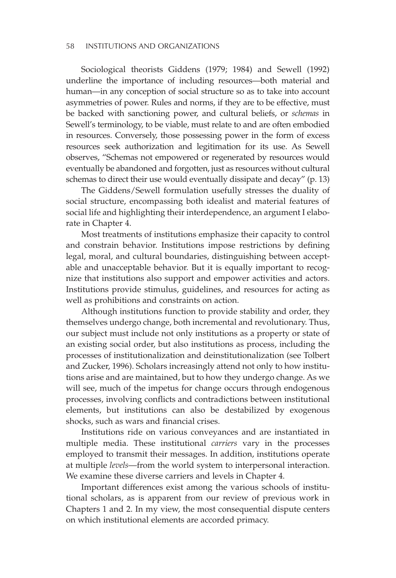### 58 INSTITUTIONS AND ORGANIZATIONS

Sociological theorists Giddens (1979; 1984) and Sewell (1992) underline the importance of including resources—both material and human—in any conception of social structure so as to take into account asymmetries of power. Rules and norms, if they are to be effective, must be backed with sanctioning power, and cultural beliefs, or *schemas* in Sewell's terminology, to be viable, must relate to and are often embodied in resources. Conversely, those possessing power in the form of excess resources seek authorization and legitimation for its use. As Sewell observes, "Schemas not empowered or regenerated by resources would eventually be abandoned and forgotten, just as resources without cultural schemas to direct their use would eventually dissipate and decay" (p. 13)

The Giddens/Sewell formulation usefully stresses the duality of social structure, encompassing both idealist and material features of social life and highlighting their interdependence, an argument I elaborate in Chapter 4.

Most treatments of institutions emphasize their capacity to control and constrain behavior. Institutions impose restrictions by defining legal, moral, and cultural boundaries, distinguishing between acceptable and unacceptable behavior. But it is equally important to recognize that institutions also support and empower activities and actors. Institutions provide stimulus, guidelines, and resources for acting as well as prohibitions and constraints on action.

Although institutions function to provide stability and order, they themselves undergo change, both incremental and revolutionary. Thus, our subject must include not only institutions as a property or state of an existing social order, but also institutions as process, including the processes of institutionalization and deinstitutionalization (see Tolbert and Zucker, 1996). Scholars increasingly attend not only to how institutions arise and are maintained, but to how they undergo change. As we will see, much of the impetus for change occurs through endogenous processes, involving conflicts and contradictions between institutional elements, but institutions can also be destabilized by exogenous shocks, such as wars and financial crises.

Institutions ride on various conveyances and are instantiated in multiple media. These institutional *carriers* vary in the processes employed to transmit their messages. In addition, institutions operate at multiple *levels*—from the world system to interpersonal interaction. We examine these diverse carriers and levels in Chapter 4.

Important differences exist among the various schools of institutional scholars, as is apparent from our review of previous work in Chapters 1 and 2. In my view, the most consequential dispute centers on which institutional elements are accorded primacy.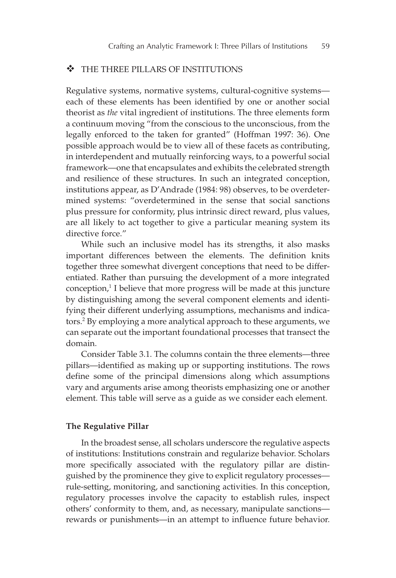# ❖ THE THREE PILLARS OF INSTITUTIONS

Regulative systems, normative systems, cultural-cognitive systems each of these elements has been identified by one or another social theorist as *the* vital ingredient of institutions. The three elements form a continuum moving "from the conscious to the unconscious, from the legally enforced to the taken for granted" (Hoffman 1997: 36). One possible approach would be to view all of these facets as contributing, in interdependent and mutually reinforcing ways, to a powerful social framework—one that encapsulates and exhibits the celebrated strength and resilience of these structures. In such an integrated conception, institutions appear, as D'Andrade (1984: 98) observes, to be overdetermined systems: "overdetermined in the sense that social sanctions plus pressure for conformity, plus intrinsic direct reward, plus values, are all likely to act together to give a particular meaning system its directive force."

While such an inclusive model has its strengths, it also masks important differences between the elements. The definition knits together three somewhat divergent conceptions that need to be differentiated. Rather than pursuing the development of a more integrated conception, $1$  I believe that more progress will be made at this juncture by distinguishing among the several component elements and identifying their different underlying assumptions, mechanisms and indicators.2 By employing a more analytical approach to these arguments, we can separate out the important foundational processes that transect the domain.

Consider Table 3.1. The columns contain the three elements—three pillars—identified as making up or supporting institutions. The rows define some of the principal dimensions along which assumptions vary and arguments arise among theorists emphasizing one or another element. This table will serve as a guide as we consider each element.

# **The Regulative Pillar**

In the broadest sense, all scholars underscore the regulative aspects of institutions: Institutions constrain and regularize behavior. Scholars more specifically associated with the regulatory pillar are distinguished by the prominence they give to explicit regulatory processes rule-setting, monitoring, and sanctioning activities. In this conception, regulatory processes involve the capacity to establish rules, inspect others' conformity to them, and, as necessary, manipulate sanctions rewards or punishments—in an attempt to influence future behavior.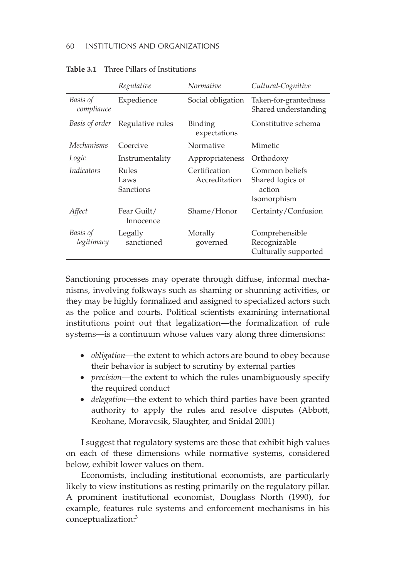|                        | Regulative                 | <i>Normative</i>               | Cultural-Cognitive                                          |
|------------------------|----------------------------|--------------------------------|-------------------------------------------------------------|
| Basis of<br>compliance | Expedience                 | Social obligation              | Taken-for-grantedness<br>Shared understanding               |
| Basis of order         | Regulative rules           | Binding<br>expectations        | Constitutive schema                                         |
| <i>Mechanisms</i>      | Coercive                   | Normative                      | Mimetic                                                     |
| Logic                  | Instrumentality            | Appropriateness                | Orthodoxy                                                   |
| Indicators             | Rules<br>Laws<br>Sanctions | Certification<br>Accreditation | Common beliefs<br>Shared logics of<br>action<br>Isomorphism |
| Affect                 | Fear Guilt/<br>Innocence   | Shame/Honor                    | Certainty/Confusion                                         |
| Basis of<br>legitimacy | Legally<br>sanctioned      | Morally<br>governed            | Comprehensible<br>Recognizable<br>Culturally supported      |

**Table 3.1** Three Pillars of Institutions

Sanctioning processes may operate through diffuse, informal mechanisms, involving folkways such as shaming or shunning activities, or they may be highly formalized and assigned to specialized actors such as the police and courts. Political scientists examining international institutions point out that legalization—the formalization of rule systems—is a continuum whose values vary along three dimensions:

- *obligation—*the extent to which actors are bound to obey because their behavior is subject to scrutiny by external parties
- *precision—*the extent to which the rules unambiguously specify the required conduct
- *delegation—*the extent to which third parties have been granted authority to apply the rules and resolve disputes (Abbott, Keohane, Moravcsik, Slaughter, and Snidal 2001)

I suggest that regulatory systems are those that exhibit high values on each of these dimensions while normative systems, considered below, exhibit lower values on them.

Economists, including institutional economists, are particularly likely to view institutions as resting primarily on the regulatory pillar. A prominent institutional economist, Douglass North (1990), for example, features rule systems and enforcement mechanisms in his conceptualization:3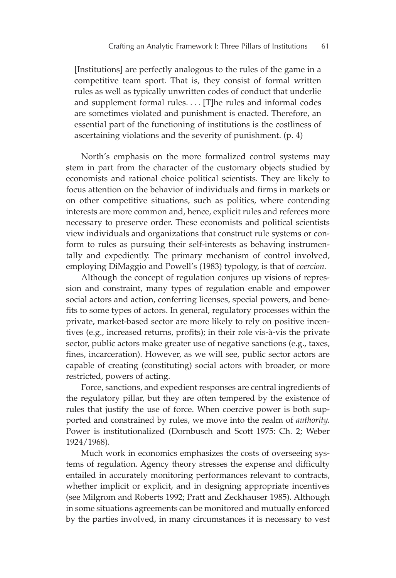[Institutions] are perfectly analogous to the rules of the game in a competitive team sport. That is, they consist of formal written rules as well as typically unwritten codes of conduct that underlie and supplement formal rules. . . . [T]he rules and informal codes are sometimes violated and punishment is enacted. Therefore, an essential part of the functioning of institutions is the costliness of ascertaining violations and the severity of punishment. (p. 4)

North's emphasis on the more formalized control systems may stem in part from the character of the customary objects studied by economists and rational choice political scientists. They are likely to focus attention on the behavior of individuals and firms in markets or on other competitive situations, such as politics, where contending interests are more common and, hence, explicit rules and referees more necessary to preserve order. These economists and political scientists view individuals and organizations that construct rule systems or conform to rules as pursuing their self-interests as behaving instrumentally and expediently. The primary mechanism of control involved, employing DiMaggio and Powell's (1983) typology, is that of *coercion.*

Although the concept of regulation conjures up visions of repression and constraint, many types of regulation enable and empower social actors and action, conferring licenses, special powers, and benefits to some types of actors. In general, regulatory processes within the private, market-based sector are more likely to rely on positive incentives (e.g., increased returns, profits); in their role vis-à-vis the private sector, public actors make greater use of negative sanctions (e.g., taxes, fines, incarceration). However, as we will see, public sector actors are capable of creating (constituting) social actors with broader, or more restricted, powers of acting.

Force, sanctions, and expedient responses are central ingredients of the regulatory pillar, but they are often tempered by the existence of rules that justify the use of force. When coercive power is both supported and constrained by rules, we move into the realm of *authority.*  Power is institutionalized (Dornbusch and Scott 1975: Ch. 2; Weber 1924/1968).

Much work in economics emphasizes the costs of overseeing systems of regulation. Agency theory stresses the expense and difficulty entailed in accurately monitoring performances relevant to contracts, whether implicit or explicit, and in designing appropriate incentives (see Milgrom and Roberts 1992; Pratt and Zeckhauser 1985). Although in some situations agreements can be monitored and mutually enforced by the parties involved, in many circumstances it is necessary to vest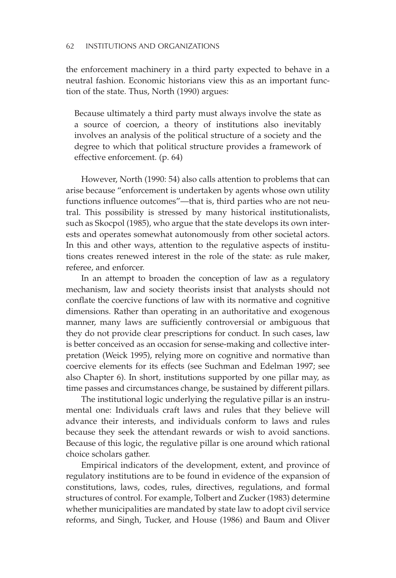the enforcement machinery in a third party expected to behave in a neutral fashion. Economic historians view this as an important function of the state. Thus, North (1990) argues:

Because ultimately a third party must always involve the state as a source of coercion, a theory of institutions also inevitably involves an analysis of the political structure of a society and the degree to which that political structure provides a framework of effective enforcement. (p. 64)

However, North (1990: 54) also calls attention to problems that can arise because "enforcement is undertaken by agents whose own utility functions influence outcomes"—that is, third parties who are not neutral. This possibility is stressed by many historical institutionalists, such as Skocpol (1985), who argue that the state develops its own interests and operates somewhat autonomously from other societal actors. In this and other ways, attention to the regulative aspects of institutions creates renewed interest in the role of the state: as rule maker, referee, and enforcer.

In an attempt to broaden the conception of law as a regulatory mechanism, law and society theorists insist that analysts should not conflate the coercive functions of law with its normative and cognitive dimensions. Rather than operating in an authoritative and exogenous manner, many laws are sufficiently controversial or ambiguous that they do not provide clear prescriptions for conduct. In such cases, law is better conceived as an occasion for sense-making and collective interpretation (Weick 1995), relying more on cognitive and normative than coercive elements for its effects (see Suchman and Edelman 1997; see also Chapter 6). In short, institutions supported by one pillar may, as time passes and circumstances change, be sustained by different pillars.

The institutional logic underlying the regulative pillar is an instrumental one: Individuals craft laws and rules that they believe will advance their interests, and individuals conform to laws and rules because they seek the attendant rewards or wish to avoid sanctions. Because of this logic, the regulative pillar is one around which rational choice scholars gather.

Empirical indicators of the development, extent, and province of regulatory institutions are to be found in evidence of the expansion of constitutions, laws, codes, rules, directives, regulations, and formal structures of control. For example, Tolbert and Zucker (1983) determine whether municipalities are mandated by state law to adopt civil service reforms, and Singh, Tucker, and House (1986) and Baum and Oliver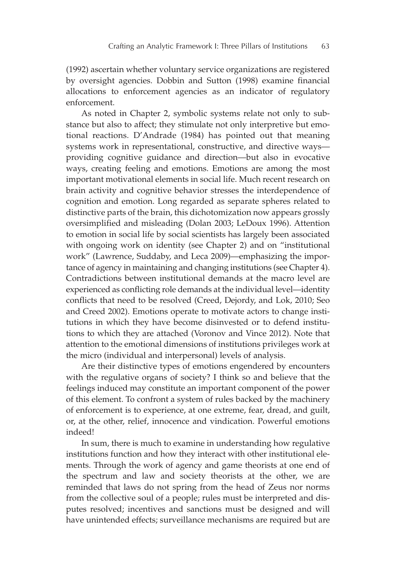(1992) ascertain whether voluntary service organizations are registered by oversight agencies. Dobbin and Sutton (1998) examine financial allocations to enforcement agencies as an indicator of regulatory enforcement.

As noted in Chapter 2, symbolic systems relate not only to substance but also to affect; they stimulate not only interpretive but emotional reactions. D'Andrade (1984) has pointed out that meaning systems work in representational, constructive, and directive ways providing cognitive guidance and direction—but also in evocative ways, creating feeling and emotions. Emotions are among the most important motivational elements in social life. Much recent research on brain activity and cognitive behavior stresses the interdependence of cognition and emotion. Long regarded as separate spheres related to distinctive parts of the brain, this dichotomization now appears grossly oversimplified and misleading (Dolan 2003; LeDoux 1996). Attention to emotion in social life by social scientists has largely been associated with ongoing work on identity (see Chapter 2) and on "institutional work" (Lawrence, Suddaby, and Leca 2009)—emphasizing the importance of agency in maintaining and changing institutions (see Chapter 4). Contradictions between institutional demands at the macro level are experienced as conflicting role demands at the individual level—identity conflicts that need to be resolved (Creed, Dejordy, and Lok, 2010; Seo and Creed 2002). Emotions operate to motivate actors to change institutions in which they have become disinvested or to defend institutions to which they are attached (Voronov and Vince 2012). Note that attention to the emotional dimensions of institutions privileges work at the micro (individual and interpersonal) levels of analysis.

Are their distinctive types of emotions engendered by encounters with the regulative organs of society? I think so and believe that the feelings induced may constitute an important component of the power of this element. To confront a system of rules backed by the machinery of enforcement is to experience, at one extreme, fear, dread, and guilt, or, at the other, relief, innocence and vindication. Powerful emotions indeed!

In sum, there is much to examine in understanding how regulative institutions function and how they interact with other institutional elements. Through the work of agency and game theorists at one end of the spectrum and law and society theorists at the other, we are reminded that laws do not spring from the head of Zeus nor norms from the collective soul of a people; rules must be interpreted and disputes resolved; incentives and sanctions must be designed and will have unintended effects; surveillance mechanisms are required but are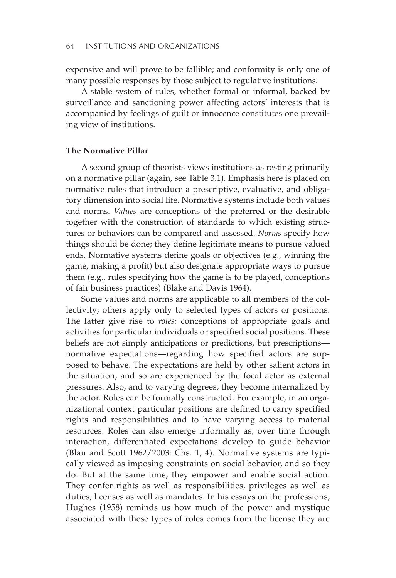expensive and will prove to be fallible; and conformity is only one of many possible responses by those subject to regulative institutions.

A stable system of rules, whether formal or informal, backed by surveillance and sanctioning power affecting actors' interests that is accompanied by feelings of guilt or innocence constitutes one prevailing view of institutions.

# **The Normative Pillar**

A second group of theorists views institutions as resting primarily on a normative pillar (again, see Table 3.1). Emphasis here is placed on normative rules that introduce a prescriptive, evaluative, and obligatory dimension into social life. Normative systems include both values and norms. *Values* are conceptions of the preferred or the desirable together with the construction of standards to which existing structures or behaviors can be compared and assessed. *Norms* specify how things should be done; they define legitimate means to pursue valued ends. Normative systems define goals or objectives (e.g., winning the game, making a profit) but also designate appropriate ways to pursue them (e.g., rules specifying how the game is to be played, conceptions of fair business practices) (Blake and Davis 1964).

Some values and norms are applicable to all members of the collectivity; others apply only to selected types of actors or positions. The latter give rise to *roles:* conceptions of appropriate goals and activities for particular individuals or specified social positions. These beliefs are not simply anticipations or predictions, but prescriptions normative expectations—regarding how specified actors are supposed to behave. The expectations are held by other salient actors in the situation, and so are experienced by the focal actor as external pressures. Also, and to varying degrees, they become internalized by the actor. Roles can be formally constructed. For example, in an organizational context particular positions are defined to carry specified rights and responsibilities and to have varying access to material resources. Roles can also emerge informally as, over time through interaction, differentiated expectations develop to guide behavior (Blau and Scott 1962/2003: Chs. 1, 4). Normative systems are typically viewed as imposing constraints on social behavior, and so they do. But at the same time, they empower and enable social action. They confer rights as well as responsibilities, privileges as well as duties, licenses as well as mandates. In his essays on the professions, Hughes (1958) reminds us how much of the power and mystique associated with these types of roles comes from the license they are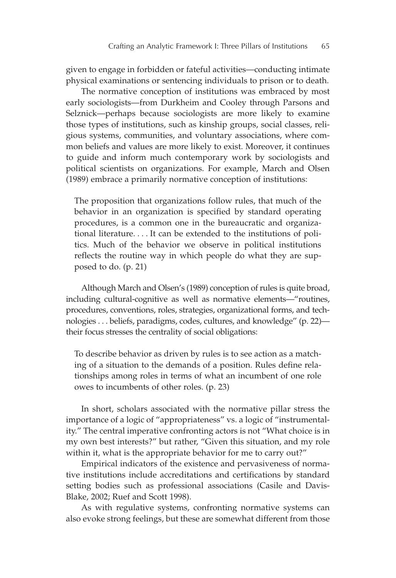given to engage in forbidden or fateful activities—conducting intimate physical examinations or sentencing individuals to prison or to death.

The normative conception of institutions was embraced by most early sociologists—from Durkheim and Cooley through Parsons and Selznick—perhaps because sociologists are more likely to examine those types of institutions, such as kinship groups, social classes, religious systems, communities, and voluntary associations, where common beliefs and values are more likely to exist. Moreover, it continues to guide and inform much contemporary work by sociologists and political scientists on organizations. For example, March and Olsen (1989) embrace a primarily normative conception of institutions:

The proposition that organizations follow rules, that much of the behavior in an organization is specified by standard operating procedures, is a common one in the bureaucratic and organizational literature. . . . It can be extended to the institutions of politics. Much of the behavior we observe in political institutions reflects the routine way in which people do what they are supposed to do. (p. 21)

Although March and Olsen's (1989) conception of rules is quite broad, including cultural-cognitive as well as normative elements—"routines, procedures, conventions, roles, strategies, organizational forms, and technologies . . . beliefs, paradigms, codes, cultures, and knowledge" (p. 22) their focus stresses the centrality of social obligations:

To describe behavior as driven by rules is to see action as a matching of a situation to the demands of a position. Rules define relationships among roles in terms of what an incumbent of one role owes to incumbents of other roles. (p. 23)

In short, scholars associated with the normative pillar stress the importance of a logic of "appropriateness" vs. a logic of "instrumentality." The central imperative confronting actors is not "What choice is in my own best interests?" but rather, "Given this situation, and my role within it, what is the appropriate behavior for me to carry out?"

Empirical indicators of the existence and pervasiveness of normative institutions include accreditations and certifications by standard setting bodies such as professional associations (Casile and Davis-Blake, 2002; Ruef and Scott 1998).

As with regulative systems, confronting normative systems can also evoke strong feelings, but these are somewhat different from those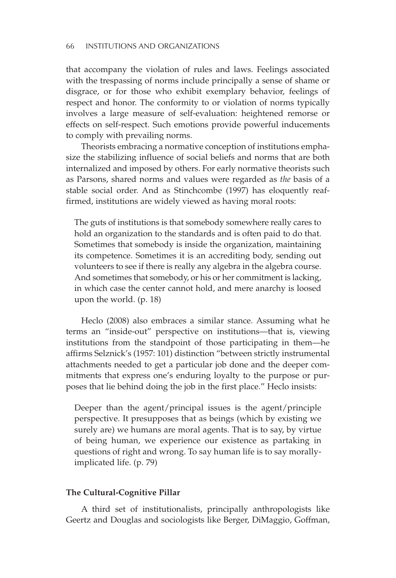that accompany the violation of rules and laws. Feelings associated with the trespassing of norms include principally a sense of shame or disgrace, or for those who exhibit exemplary behavior, feelings of respect and honor. The conformity to or violation of norms typically involves a large measure of self-evaluation: heightened remorse or effects on self-respect. Such emotions provide powerful inducements to comply with prevailing norms.

Theorists embracing a normative conception of institutions emphasize the stabilizing influence of social beliefs and norms that are both internalized and imposed by others. For early normative theorists such as Parsons, shared norms and values were regarded as *the* basis of a stable social order. And as Stinchcombe (1997) has eloquently reaffirmed, institutions are widely viewed as having moral roots:

The guts of institutions is that somebody somewhere really cares to hold an organization to the standards and is often paid to do that. Sometimes that somebody is inside the organization, maintaining its competence. Sometimes it is an accrediting body, sending out volunteers to see if there is really any algebra in the algebra course. And sometimes that somebody, or his or her commitment is lacking, in which case the center cannot hold, and mere anarchy is loosed upon the world. (p. 18)

Heclo (2008) also embraces a similar stance. Assuming what he terms an "inside-out" perspective on institutions—that is, viewing institutions from the standpoint of those participating in them—he affirms Selznick's (1957: 101) distinction "between strictly instrumental attachments needed to get a particular job done and the deeper commitments that express one's enduring loyalty to the purpose or purposes that lie behind doing the job in the first place." Heclo insists:

Deeper than the agent/principal issues is the agent/principle perspective. It presupposes that as beings (which by existing we surely are) we humans are moral agents. That is to say, by virtue of being human, we experience our existence as partaking in questions of right and wrong. To say human life is to say morallyimplicated life. (p. 79)

# **The Cultural-Cognitive Pillar**

A third set of institutionalists, principally anthropologists like Geertz and Douglas and sociologists like Berger, DiMaggio, Goffman,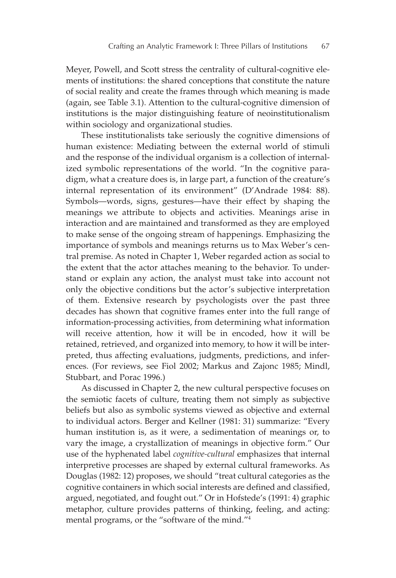Meyer, Powell, and Scott stress the centrality of cultural-cognitive elements of institutions: the shared conceptions that constitute the nature of social reality and create the frames through which meaning is made (again, see Table 3.1). Attention to the cultural-cognitive dimension of institutions is the major distinguishing feature of neoinstitutionalism within sociology and organizational studies.

These institutionalists take seriously the cognitive dimensions of human existence: Mediating between the external world of stimuli and the response of the individual organism is a collection of internalized symbolic representations of the world. "In the cognitive paradigm, what a creature does is, in large part, a function of the creature's internal representation of its environment" (D'Andrade 1984: 88). Symbols—words, signs, gestures—have their effect by shaping the meanings we attribute to objects and activities. Meanings arise in interaction and are maintained and transformed as they are employed to make sense of the ongoing stream of happenings. Emphasizing the importance of symbols and meanings returns us to Max Weber's central premise. As noted in Chapter 1, Weber regarded action as social to the extent that the actor attaches meaning to the behavior. To understand or explain any action, the analyst must take into account not only the objective conditions but the actor's subjective interpretation of them. Extensive research by psychologists over the past three decades has shown that cognitive frames enter into the full range of information-processing activities, from determining what information will receive attention, how it will be in encoded, how it will be retained, retrieved, and organized into memory, to how it will be interpreted, thus affecting evaluations, judgments, predictions, and inferences. (For reviews, see Fiol 2002; Markus and Zajonc 1985; Mindl, Stubbart, and Porac 1996.)

As discussed in Chapter 2, the new cultural perspective focuses on the semiotic facets of culture, treating them not simply as subjective beliefs but also as symbolic systems viewed as objective and external to individual actors. Berger and Kellner (1981: 31) summarize: "Every human institution is, as it were, a sedimentation of meanings or, to vary the image, a crystallization of meanings in objective form." Our use of the hyphenated label *cognitive-cultural* emphasizes that internal interpretive processes are shaped by external cultural frameworks. As Douglas (1982: 12) proposes, we should "treat cultural categories as the cognitive containers in which social interests are defined and classified, argued, negotiated, and fought out." Or in Hofstede's (1991: 4) graphic metaphor, culture provides patterns of thinking, feeling, and acting: mental programs, or the "software of the mind."4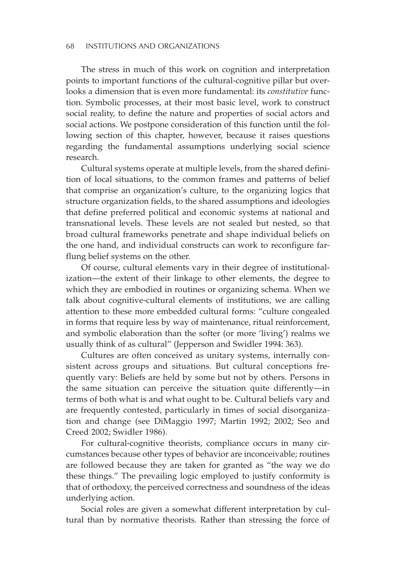The stress in much of this work on cognition and interpretation points to important functions of the cultural-cognitive pillar but overlooks a dimension that is even more fundamental: its *constitutive* function. Symbolic processes, at their most basic level, work to construct social reality, to define the nature and properties of social actors and social actions. We postpone consideration of this function until the following section of this chapter, however, because it raises questions regarding the fundamental assumptions underlying social science research.

Cultural systems operate at multiple levels, from the shared definition of local situations, to the common frames and patterns of belief that comprise an organization's culture, to the organizing logics that structure organization fields, to the shared assumptions and ideologies that define preferred political and economic systems at national and transnational levels. These levels are not sealed but nested, so that broad cultural frameworks penetrate and shape individual beliefs on the one hand, and individual constructs can work to reconfigure farflung belief systems on the other.

Of course, cultural elements vary in their degree of institutionalization—the extent of their linkage to other elements, the degree to which they are embodied in routines or organizing schema. When we talk about cognitive-cultural elements of institutions, we are calling attention to these more embedded cultural forms: "culture congealed in forms that require less by way of maintenance, ritual reinforcement, and symbolic elaboration than the softer (or more 'living') realms we usually think of as cultural" (Jepperson and Swidler 1994: 363).

Cultures are often conceived as unitary systems, internally consistent across groups and situations. But cultural conceptions frequently vary: Beliefs are held by some but not by others. Persons in the same situation can perceive the situation quite differently—in terms of both what is and what ought to be. Cultural beliefs vary and are frequently contested, particularly in times of social disorganization and change (see DiMaggio 1997; Martin 1992; 2002; Seo and Creed 2002; Swidler 1986).

For cultural-cognitive theorists, compliance occurs in many circumstances because other types of behavior are inconceivable; routines are followed because they are taken for granted as "the way we do these things." The prevailing logic employed to justify conformity is that of orthodoxy, the perceived correctness and soundness of the ideas underlying action.

Social roles are given a somewhat different interpretation by cultural than by normative theorists. Rather than stressing the force of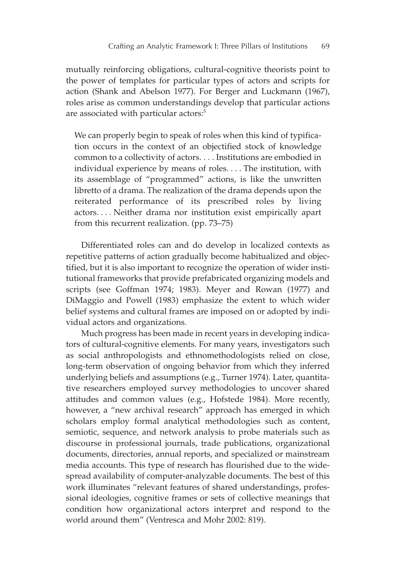mutually reinforcing obligations, cultural-cognitive theorists point to the power of templates for particular types of actors and scripts for action (Shank and Abelson 1977). For Berger and Luckmann (1967), roles arise as common understandings develop that particular actions are associated with particular actors:<sup>5</sup>

We can properly begin to speak of roles when this kind of typification occurs in the context of an objectified stock of knowledge common to a collectivity of actors. . . . Institutions are embodied in individual experience by means of roles. . . . The institution, with its assemblage of "programmed" actions, is like the unwritten libretto of a drama. The realization of the drama depends upon the reiterated performance of its prescribed roles by living actors. . . . Neither drama nor institution exist empirically apart from this recurrent realization. (pp. 73–75)

Differentiated roles can and do develop in localized contexts as repetitive patterns of action gradually become habitualized and objectified, but it is also important to recognize the operation of wider institutional frameworks that provide prefabricated organizing models and scripts (see Goffman 1974; 1983). Meyer and Rowan (1977) and DiMaggio and Powell (1983) emphasize the extent to which wider belief systems and cultural frames are imposed on or adopted by individual actors and organizations.

Much progress has been made in recent years in developing indicators of cultural-cognitive elements. For many years, investigators such as social anthropologists and ethnomethodologists relied on close, long-term observation of ongoing behavior from which they inferred underlying beliefs and assumptions (e.g., Turner 1974). Later, quantitative researchers employed survey methodologies to uncover shared attitudes and common values (e.g., Hofstede 1984). More recently, however, a "new archival research" approach has emerged in which scholars employ formal analytical methodologies such as content, semiotic, sequence, and network analysis to probe materials such as discourse in professional journals, trade publications, organizational documents, directories, annual reports, and specialized or mainstream media accounts. This type of research has flourished due to the widespread availability of computer-analyzable documents. The best of this work illuminates "relevant features of shared understandings, professional ideologies, cognitive frames or sets of collective meanings that condition how organizational actors interpret and respond to the world around them" (Ventresca and Mohr 2002: 819).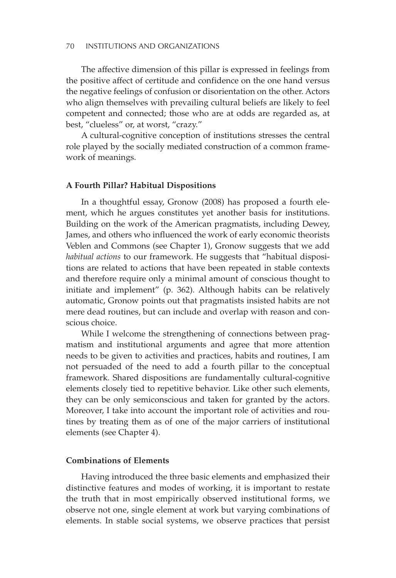### 70 INSTITUTIONS AND ORGANIZATIONS

The affective dimension of this pillar is expressed in feelings from the positive affect of certitude and confidence on the one hand versus the negative feelings of confusion or disorientation on the other. Actors who align themselves with prevailing cultural beliefs are likely to feel competent and connected; those who are at odds are regarded as, at best, "clueless" or, at worst, "crazy."

A cultural-cognitive conception of institutions stresses the central role played by the socially mediated construction of a common framework of meanings.

# **A Fourth Pillar? Habitual Dispositions**

In a thoughtful essay, Gronow (2008) has proposed a fourth element, which he argues constitutes yet another basis for institutions. Building on the work of the American pragmatists, including Dewey, James, and others who influenced the work of early economic theorists Veblen and Commons (see Chapter 1), Gronow suggests that we add *habitual actions* to our framework. He suggests that "habitual dispositions are related to actions that have been repeated in stable contexts and therefore require only a minimal amount of conscious thought to initiate and implement" (p. 362). Although habits can be relatively automatic, Gronow points out that pragmatists insisted habits are not mere dead routines, but can include and overlap with reason and conscious choice.

While I welcome the strengthening of connections between pragmatism and institutional arguments and agree that more attention needs to be given to activities and practices, habits and routines, I am not persuaded of the need to add a fourth pillar to the conceptual framework. Shared dispositions are fundamentally cultural-cognitive elements closely tied to repetitive behavior. Like other such elements, they can be only semiconscious and taken for granted by the actors. Moreover, I take into account the important role of activities and routines by treating them as of one of the major carriers of institutional elements (see Chapter 4).

# **Combinations of Elements**

Having introduced the three basic elements and emphasized their distinctive features and modes of working, it is important to restate the truth that in most empirically observed institutional forms, we observe not one, single element at work but varying combinations of elements. In stable social systems, we observe practices that persist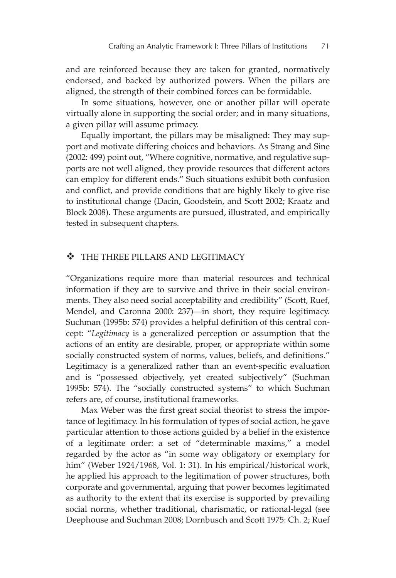and are reinforced because they are taken for granted, normatively endorsed, and backed by authorized powers. When the pillars are aligned, the strength of their combined forces can be formidable.

In some situations, however, one or another pillar will operate virtually alone in supporting the social order; and in many situations, a given pillar will assume primacy.

Equally important, the pillars may be misaligned: They may support and motivate differing choices and behaviors. As Strang and Sine (2002: 499) point out, "Where cognitive, normative, and regulative supports are not well aligned, they provide resources that different actors can employ for different ends." Such situations exhibit both confusion and conflict, and provide conditions that are highly likely to give rise to institutional change (Dacin, Goodstein, and Scott 2002; Kraatz and Block 2008). These arguments are pursued, illustrated, and empirically tested in subsequent chapters.

# $\div$  THE THREE PILLARS AND LEGITIMACY

"Organizations require more than material resources and technical information if they are to survive and thrive in their social environments. They also need social acceptability and credibility" (Scott, Ruef, Mendel, and Caronna 2000: 237)—in short, they require legitimacy. Suchman (1995b: 574) provides a helpful definition of this central concept: "*Legitimacy* is a generalized perception or assumption that the actions of an entity are desirable, proper, or appropriate within some socially constructed system of norms, values, beliefs, and definitions." Legitimacy is a generalized rather than an event-specific evaluation and is "possessed objectively, yet created subjectively" (Suchman 1995b: 574). The "socially constructed systems" to which Suchman refers are, of course, institutional frameworks.

Max Weber was the first great social theorist to stress the importance of legitimacy. In his formulation of types of social action, he gave particular attention to those actions guided by a belief in the existence of a legitimate order: a set of "determinable maxims," a model regarded by the actor as "in some way obligatory or exemplary for him" (Weber 1924/1968, Vol. 1: 31). In his empirical/historical work, he applied his approach to the legitimation of power structures, both corporate and governmental, arguing that power becomes legitimated as authority to the extent that its exercise is supported by prevailing social norms, whether traditional, charismatic, or rational-legal (see Deephouse and Suchman 2008; Dornbusch and Scott 1975: Ch. 2; Ruef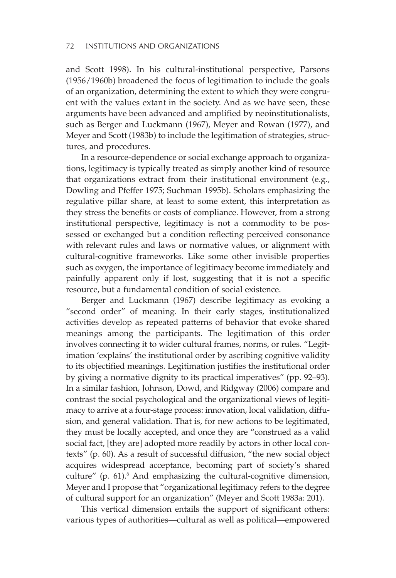and Scott 1998). In his cultural-institutional perspective, Parsons (1956/1960b) broadened the focus of legitimation to include the goals of an organization, determining the extent to which they were congruent with the values extant in the society. And as we have seen, these arguments have been advanced and amplified by neoinstitutionalists, such as Berger and Luckmann (1967), Meyer and Rowan (1977), and Meyer and Scott (1983b) to include the legitimation of strategies, structures, and procedures.

In a resource-dependence or social exchange approach to organizations, legitimacy is typically treated as simply another kind of resource that organizations extract from their institutional environment (e.g., Dowling and Pfeffer 1975; Suchman 1995b). Scholars emphasizing the regulative pillar share, at least to some extent, this interpretation as they stress the benefits or costs of compliance. However, from a strong institutional perspective, legitimacy is not a commodity to be possessed or exchanged but a condition reflecting perceived consonance with relevant rules and laws or normative values, or alignment with cultural-cognitive frameworks. Like some other invisible properties such as oxygen, the importance of legitimacy become immediately and painfully apparent only if lost, suggesting that it is not a specific resource, but a fundamental condition of social existence.

Berger and Luckmann (1967) describe legitimacy as evoking a "second order" of meaning. In their early stages, institutionalized activities develop as repeated patterns of behavior that evoke shared meanings among the participants. The legitimation of this order involves connecting it to wider cultural frames, norms, or rules. "Legitimation 'explains' the institutional order by ascribing cognitive validity to its objectified meanings. Legitimation justifies the institutional order by giving a normative dignity to its practical imperatives" (pp. 92–93). In a similar fashion, Johnson, Dowd, and Ridgway (2006) compare and contrast the social psychological and the organizational views of legitimacy to arrive at a four-stage process: innovation, local validation, diffusion, and general validation. That is, for new actions to be legitimated, they must be locally accepted, and once they are "construed as a valid social fact, [they are] adopted more readily by actors in other local contexts" (p. 60). As a result of successful diffusion, "the new social object acquires widespread acceptance, becoming part of society's shared culture" (p. 61).<sup>6</sup> And emphasizing the cultural-cognitive dimension, Meyer and I propose that "organizational legitimacy refers to the degree of cultural support for an organization" (Meyer and Scott 1983a: 201).

This vertical dimension entails the support of significant others: various types of authorities—cultural as well as political—empowered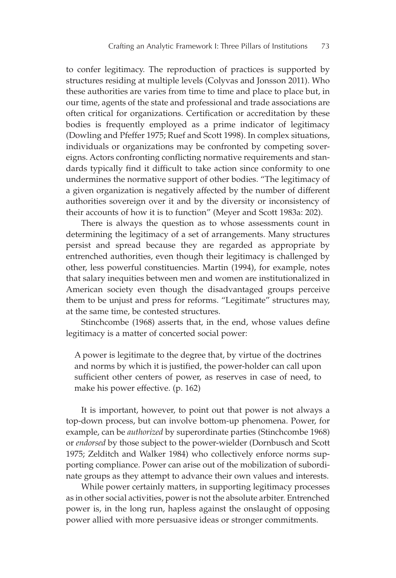to confer legitimacy. The reproduction of practices is supported by structures residing at multiple levels (Colyvas and Jonsson 2011). Who these authorities are varies from time to time and place to place but, in our time, agents of the state and professional and trade associations are often critical for organizations. Certification or accreditation by these bodies is frequently employed as a prime indicator of legitimacy (Dowling and Pfeffer 1975; Ruef and Scott 1998). In complex situations, individuals or organizations may be confronted by competing sovereigns. Actors confronting conflicting normative requirements and standards typically find it difficult to take action since conformity to one undermines the normative support of other bodies. "The legitimacy of a given organization is negatively affected by the number of different authorities sovereign over it and by the diversity or inconsistency of their accounts of how it is to function" (Meyer and Scott 1983a: 202).

There is always the question as to whose assessments count in determining the legitimacy of a set of arrangements. Many structures persist and spread because they are regarded as appropriate by entrenched authorities, even though their legitimacy is challenged by other, less powerful constituencies. Martin (1994), for example, notes that salary inequities between men and women are institutionalized in American society even though the disadvantaged groups perceive them to be unjust and press for reforms. "Legitimate" structures may, at the same time, be contested structures.

Stinchcombe (1968) asserts that, in the end, whose values define legitimacy is a matter of concerted social power:

A power is legitimate to the degree that, by virtue of the doctrines and norms by which it is justified, the power-holder can call upon sufficient other centers of power, as reserves in case of need, to make his power effective. (p. 162)

It is important, however, to point out that power is not always a top-down process, but can involve bottom-up phenomena. Power, for example, can be *authorized* by superordinate parties (Stinchcombe 1968) or *endorsed* by those subject to the power-wielder (Dornbusch and Scott 1975; Zelditch and Walker 1984) who collectively enforce norms supporting compliance. Power can arise out of the mobilization of subordinate groups as they attempt to advance their own values and interests.

While power certainly matters, in supporting legitimacy processes as in other social activities, power is not the absolute arbiter. Entrenched power is, in the long run, hapless against the onslaught of opposing power allied with more persuasive ideas or stronger commitments.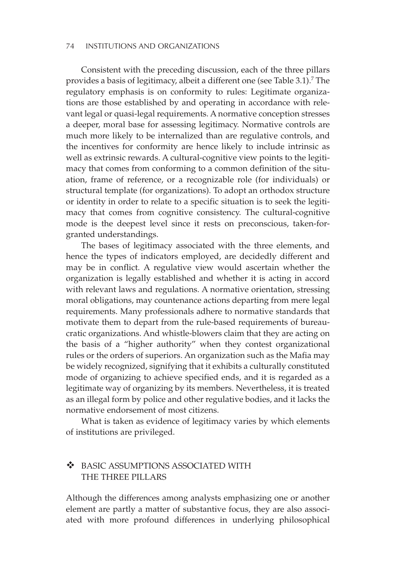### 74 INSTITUTIONS AND ORGANIZATIONS

Consistent with the preceding discussion, each of the three pillars provides a basis of legitimacy, albeit a different one (see Table 3.1).<sup>7</sup> The regulatory emphasis is on conformity to rules: Legitimate organizations are those established by and operating in accordance with relevant legal or quasi-legal requirements. A normative conception stresses a deeper, moral base for assessing legitimacy. Normative controls are much more likely to be internalized than are regulative controls, and the incentives for conformity are hence likely to include intrinsic as well as extrinsic rewards. A cultural-cognitive view points to the legitimacy that comes from conforming to a common definition of the situation, frame of reference, or a recognizable role (for individuals) or structural template (for organizations). To adopt an orthodox structure or identity in order to relate to a specific situation is to seek the legitimacy that comes from cognitive consistency. The cultural-cognitive mode is the deepest level since it rests on preconscious, taken-forgranted understandings.

The bases of legitimacy associated with the three elements, and hence the types of indicators employed, are decidedly different and may be in conflict. A regulative view would ascertain whether the organization is legally established and whether it is acting in accord with relevant laws and regulations. A normative orientation, stressing moral obligations, may countenance actions departing from mere legal requirements. Many professionals adhere to normative standards that motivate them to depart from the rule-based requirements of bureaucratic organizations. And whistle-blowers claim that they are acting on the basis of a "higher authority" when they contest organizational rules or the orders of superiors. An organization such as the Mafia may be widely recognized, signifying that it exhibits a culturally constituted mode of organizing to achieve specified ends, and it is regarded as a legitimate way of organizing by its members. Nevertheless, it is treated as an illegal form by police and other regulative bodies, and it lacks the normative endorsement of most citizens.

What is taken as evidence of legitimacy varies by which elements of institutions are privileged.

# BASIC ASSUMPTIONS ASSOCIATED WITH THE THREE PILLARS

Although the differences among analysts emphasizing one or another element are partly a matter of substantive focus, they are also associated with more profound differences in underlying philosophical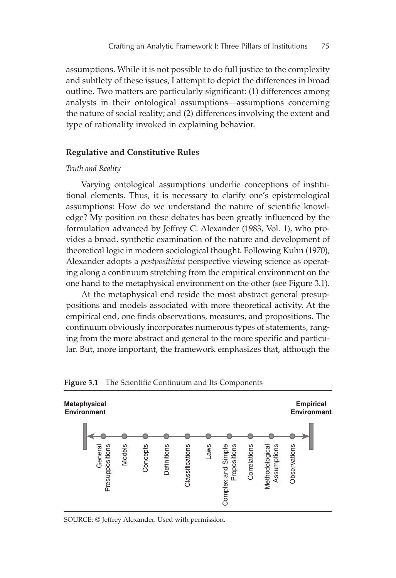assumptions. While it is not possible to do full justice to the complexity and subtlety of these issues, I attempt to depict the differences in broad outline. Two matters are particularly significant: (1) differences among analysts in their ontological assumptions—assumptions concerning the nature of social reality; and (2) differences involving the extent and type of rationality invoked in explaining behavior.

# **Regulative and Constitutive Rules**

### *Truth and Reality*

Varying ontological assumptions underlie conceptions of institutional elements. Thus, it is necessary to clarify one's epistemological assumptions: How do we understand the nature of scientific knowledge? My position on these debates has been greatly influenced by the formulation advanced by Jeffrey C. Alexander (1983, Vol. 1), who provides a broad, synthetic examination of the nature and development of theoretical logic in modern sociological thought. Following Kuhn (1970), Alexander adopts a *postpositivist* perspective viewing science as operating along a continuum stretching from the empirical environment on the one hand to the metaphysical environment on the other (see Figure 3.1).

At the metaphysical end reside the most abstract general presuppositions and models associated with more theoretical activity. At the empirical end, one finds observations, measures, and propositions. The continuum obviously incorporates numerous types of statements, ranging from the more abstract and general to the more specific and particular. But, more important, the framework emphasizes that, although the



**Figure 3.1** The Scientific Continuum and Its Components

SOURCE: © Jeffrey Alexander. Used with permission.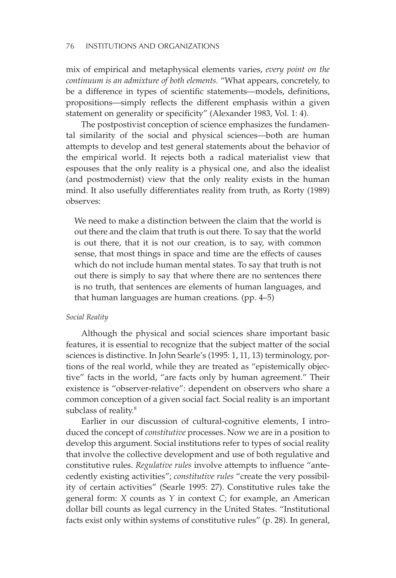### 76 INSTITUTIONS AND ORGANIZATIONS

mix of empirical and metaphysical elements varies, *every point on the continuum is an admixture of both elements.* "What appears, concretely, to be a difference in types of scientific statements—models, definitions, propositions—simply reflects the different emphasis within a given statement on generality or specificity" (Alexander 1983, Vol. 1: 4).

The postpostivist conception of science emphasizes the fundamental similarity of the social and physical sciences—both are human attempts to develop and test general statements about the behavior of the empirical world. It rejects both a radical materialist view that espouses that the only reality is a physical one, and also the idealist (and postmodernist) view that the only reality exists in the human mind. It also usefully differentiates reality from truth, as Rorty (1989) observes:

We need to make a distinction between the claim that the world is out there and the claim that truth is out there. To say that the world is out there, that it is not our creation, is to say, with common sense, that most things in space and time are the effects of causes which do not include human mental states. To say that truth is not out there is simply to say that where there are no sentences there is no truth, that sentences are elements of human languages, and that human languages are human creations. (pp. 4–5)

### *Social Reality*

Although the physical and social sciences share important basic features, it is essential to recognize that the subject matter of the social sciences is distinctive. In John Searle's (1995: 1, 11, 13) terminology, portions of the real world, while they are treated as "epistemically objective" facts in the world, "are facts only by human agreement." Their existence is "observer-relative": dependent on observers who share a common conception of a given social fact. Social reality is an important subclass of reality.<sup>8</sup>

Earlier in our discussion of cultural-cognitive elements, I introduced the concept of *constitutive* processes. Now we are in a position to develop this argument. Social institutions refer to types of social reality that involve the collective development and use of both regulative and constitutive rules. *Regulative rules* involve attempts to influence "antecedently existing activities"; *constitutive rules* "create the very possibility of certain activities" (Searle 1995: 27). Constitutive rules take the general form: *X* counts as *Y* in context *C*; for example, an American dollar bill counts as legal currency in the United States. "Institutional facts exist only within systems of constitutive rules" (p. 28). In general,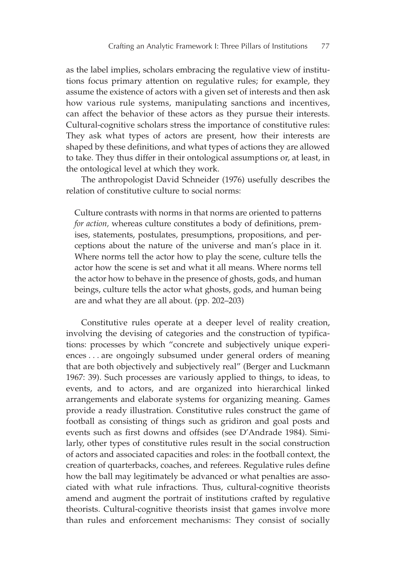as the label implies, scholars embracing the regulative view of institutions focus primary attention on regulative rules; for example, they assume the existence of actors with a given set of interests and then ask how various rule systems, manipulating sanctions and incentives, can affect the behavior of these actors as they pursue their interests. Cultural-cognitive scholars stress the importance of constitutive rules: They ask what types of actors are present, how their interests are shaped by these definitions, and what types of actions they are allowed to take. They thus differ in their ontological assumptions or, at least, in the ontological level at which they work.

The anthropologist David Schneider (1976) usefully describes the relation of constitutive culture to social norms:

Culture contrasts with norms in that norms are oriented to patterns *for action,* whereas culture constitutes a body of definitions, premises, statements, postulates, presumptions, propositions, and perceptions about the nature of the universe and man's place in it. Where norms tell the actor how to play the scene, culture tells the actor how the scene is set and what it all means. Where norms tell the actor how to behave in the presence of ghosts, gods, and human beings, culture tells the actor what ghosts, gods, and human being are and what they are all about. (pp. 202–203)

Constitutive rules operate at a deeper level of reality creation, involving the devising of categories and the construction of typifications: processes by which "concrete and subjectively unique experiences . . . are ongoingly subsumed under general orders of meaning that are both objectively and subjectively real" (Berger and Luckmann 1967: 39). Such processes are variously applied to things, to ideas, to events, and to actors, and are organized into hierarchical linked arrangements and elaborate systems for organizing meaning. Games provide a ready illustration. Constitutive rules construct the game of football as consisting of things such as gridiron and goal posts and events such as first downs and offsides (see D'Andrade 1984). Similarly, other types of constitutive rules result in the social construction of actors and associated capacities and roles: in the football context, the creation of quarterbacks, coaches, and referees. Regulative rules define how the ball may legitimately be advanced or what penalties are associated with what rule infractions. Thus, cultural-cognitive theorists amend and augment the portrait of institutions crafted by regulative theorists. Cultural-cognitive theorists insist that games involve more than rules and enforcement mechanisms: They consist of socially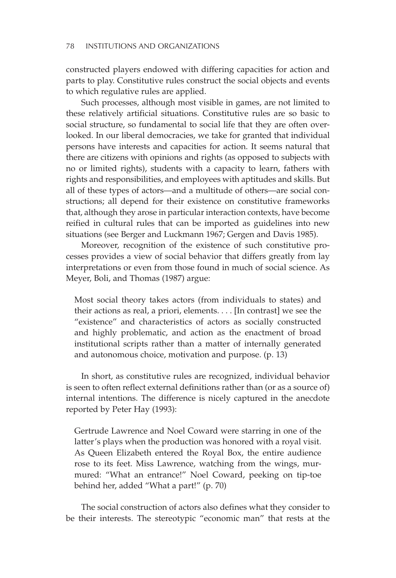constructed players endowed with differing capacities for action and parts to play. Constitutive rules construct the social objects and events to which regulative rules are applied.

Such processes, although most visible in games, are not limited to these relatively artificial situations. Constitutive rules are so basic to social structure, so fundamental to social life that they are often overlooked. In our liberal democracies, we take for granted that individual persons have interests and capacities for action. It seems natural that there are citizens with opinions and rights (as opposed to subjects with no or limited rights), students with a capacity to learn, fathers with rights and responsibilities, and employees with aptitudes and skills. But all of these types of actors—and a multitude of others—are social constructions; all depend for their existence on constitutive frameworks that, although they arose in particular interaction contexts, have become reified in cultural rules that can be imported as guidelines into new situations (see Berger and Luckmann 1967; Gergen and Davis 1985).

Moreover, recognition of the existence of such constitutive processes provides a view of social behavior that differs greatly from lay interpretations or even from those found in much of social science. As Meyer, Boli, and Thomas (1987) argue:

Most social theory takes actors (from individuals to states) and their actions as real, a priori, elements. . . . [In contrast] we see the "existence" and characteristics of actors as socially constructed and highly problematic, and action as the enactment of broad institutional scripts rather than a matter of internally generated and autonomous choice, motivation and purpose. (p. 13)

In short, as constitutive rules are recognized, individual behavior is seen to often reflect external definitions rather than (or as a source of) internal intentions. The difference is nicely captured in the anecdote reported by Peter Hay (1993):

Gertrude Lawrence and Noel Coward were starring in one of the latter's plays when the production was honored with a royal visit. As Queen Elizabeth entered the Royal Box, the entire audience rose to its feet. Miss Lawrence, watching from the wings, murmured: "What an entrance!" Noel Coward, peeking on tip-toe behind her, added "What a part!" (p. 70)

The social construction of actors also defines what they consider to be their interests. The stereotypic "economic man" that rests at the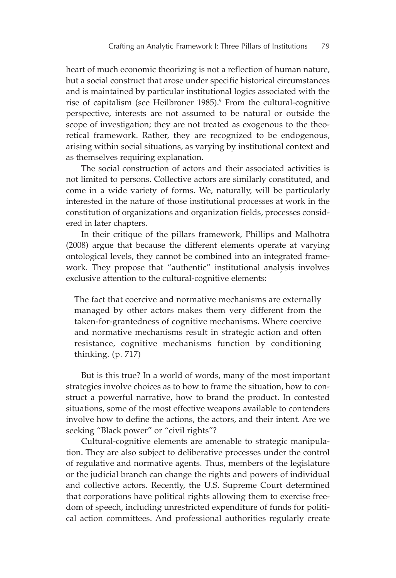heart of much economic theorizing is not a reflection of human nature, but a social construct that arose under specific historical circumstances and is maintained by particular institutional logics associated with the rise of capitalism (see Heilbroner 1985).<sup>9</sup> From the cultural-cognitive perspective, interests are not assumed to be natural or outside the scope of investigation; they are not treated as exogenous to the theoretical framework. Rather, they are recognized to be endogenous, arising within social situations, as varying by institutional context and as themselves requiring explanation.

The social construction of actors and their associated activities is not limited to persons. Collective actors are similarly constituted, and come in a wide variety of forms. We, naturally, will be particularly interested in the nature of those institutional processes at work in the constitution of organizations and organization fields, processes considered in later chapters.

In their critique of the pillars framework, Phillips and Malhotra (2008) argue that because the different elements operate at varying ontological levels, they cannot be combined into an integrated framework. They propose that "authentic" institutional analysis involves exclusive attention to the cultural-cognitive elements:

The fact that coercive and normative mechanisms are externally managed by other actors makes them very different from the taken-for-grantedness of cognitive mechanisms. Where coercive and normative mechanisms result in strategic action and often resistance, cognitive mechanisms function by conditioning thinking. (p. 717)

But is this true? In a world of words, many of the most important strategies involve choices as to how to frame the situation, how to construct a powerful narrative, how to brand the product. In contested situations, some of the most effective weapons available to contenders involve how to define the actions, the actors, and their intent. Are we seeking "Black power" or "civil rights"?

Cultural-cognitive elements are amenable to strategic manipulation. They are also subject to deliberative processes under the control of regulative and normative agents. Thus, members of the legislature or the judicial branch can change the rights and powers of individual and collective actors. Recently, the U.S. Supreme Court determined that corporations have political rights allowing them to exercise freedom of speech, including unrestricted expenditure of funds for political action committees. And professional authorities regularly create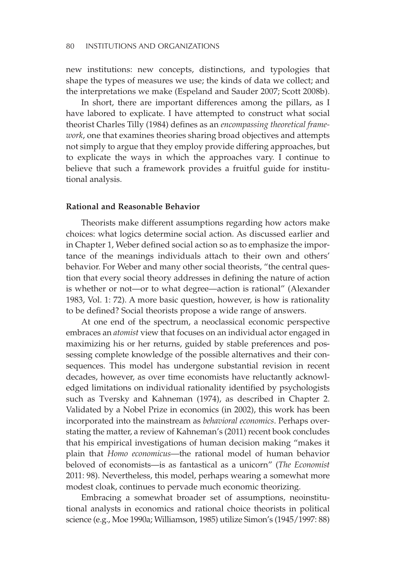new institutions: new concepts, distinctions, and typologies that shape the types of measures we use; the kinds of data we collect; and the interpretations we make (Espeland and Sauder 2007; Scott 2008b).

In short, there are important differences among the pillars, as I have labored to explicate. I have attempted to construct what social theorist Charles Tilly (1984) defines as an *encompassing theoretical framework*, one that examines theories sharing broad objectives and attempts not simply to argue that they employ provide differing approaches, but to explicate the ways in which the approaches vary. I continue to believe that such a framework provides a fruitful guide for institutional analysis.

# **Rational and Reasonable Behavior**

Theorists make different assumptions regarding how actors make choices: what logics determine social action. As discussed earlier and in Chapter 1, Weber defined social action so as to emphasize the importance of the meanings individuals attach to their own and others' behavior. For Weber and many other social theorists, "the central question that every social theory addresses in defining the nature of action is whether or not—or to what degree—action is rational" (Alexander 1983, Vol. 1: 72). A more basic question, however, is how is rationality to be defined? Social theorists propose a wide range of answers.

At one end of the spectrum, a neoclassical economic perspective embraces an *atomist* view that focuses on an individual actor engaged in maximizing his or her returns, guided by stable preferences and possessing complete knowledge of the possible alternatives and their consequences. This model has undergone substantial revision in recent decades, however, as over time economists have reluctantly acknowledged limitations on individual rationality identified by psychologists such as Tversky and Kahneman (1974), as described in Chapter 2. Validated by a Nobel Prize in economics (in 2002), this work has been incorporated into the mainstream as *behavioral economics*. Perhaps overstating the matter, a review of Kahneman's (2011) recent book concludes that his empirical investigations of human decision making "makes it plain that *Homo economicus*—the rational model of human behavior beloved of economists—is as fantastical as a unicorn" (*The Economist*  2011: 98). Nevertheless, this model, perhaps wearing a somewhat more modest cloak, continues to pervade much economic theorizing.

Embracing a somewhat broader set of assumptions, neoinstitutional analysts in economics and rational choice theorists in political science (e.g., Moe 1990a; Williamson, 1985) utilize Simon's (1945/1997: 88)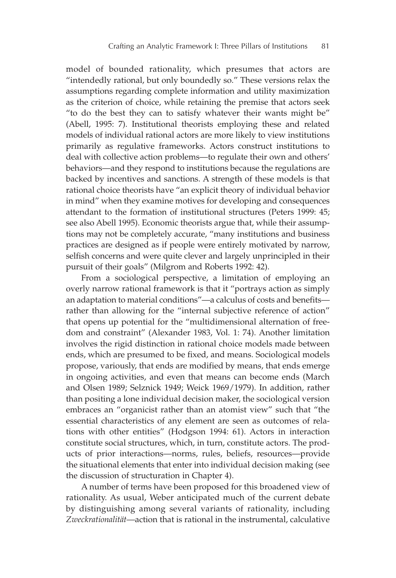model of bounded rationality, which presumes that actors are "intendedly rational, but only boundedly so." These versions relax the assumptions regarding complete information and utility maximization as the criterion of choice, while retaining the premise that actors seek "to do the best they can to satisfy whatever their wants might be" (Abell, 1995: 7). Institutional theorists employing these and related models of individual rational actors are more likely to view institutions primarily as regulative frameworks. Actors construct institutions to deal with collective action problems—to regulate their own and others' behaviors—and they respond to institutions because the regulations are backed by incentives and sanctions. A strength of these models is that rational choice theorists have "an explicit theory of individual behavior in mind" when they examine motives for developing and consequences attendant to the formation of institutional structures (Peters 1999: 45; see also Abell 1995). Economic theorists argue that, while their assumptions may not be completely accurate, "many institutions and business practices are designed as if people were entirely motivated by narrow, selfish concerns and were quite clever and largely unprincipled in their pursuit of their goals" (Milgrom and Roberts 1992: 42).

From a sociological perspective, a limitation of employing an overly narrow rational framework is that it "portrays action as simply an adaptation to material conditions"—a calculus of costs and benefits rather than allowing for the "internal subjective reference of action" that opens up potential for the "multidimensional alternation of freedom and constraint" (Alexander 1983, Vol. 1: 74). Another limitation involves the rigid distinction in rational choice models made between ends, which are presumed to be fixed, and means. Sociological models propose, variously, that ends are modified by means, that ends emerge in ongoing activities, and even that means can become ends (March and Olsen 1989; Selznick 1949; Weick 1969/1979). In addition, rather than positing a lone individual decision maker, the sociological version embraces an "organicist rather than an atomist view" such that "the essential characteristics of any element are seen as outcomes of relations with other entities" (Hodgson 1994: 61). Actors in interaction constitute social structures, which, in turn, constitute actors. The products of prior interactions—norms, rules, beliefs, resources—provide the situational elements that enter into individual decision making (see the discussion of structuration in Chapter 4).

A number of terms have been proposed for this broadened view of rationality. As usual, Weber anticipated much of the current debate by distinguishing among several variants of rationality, including *Zweckrationalität*—action that is rational in the instrumental, calculative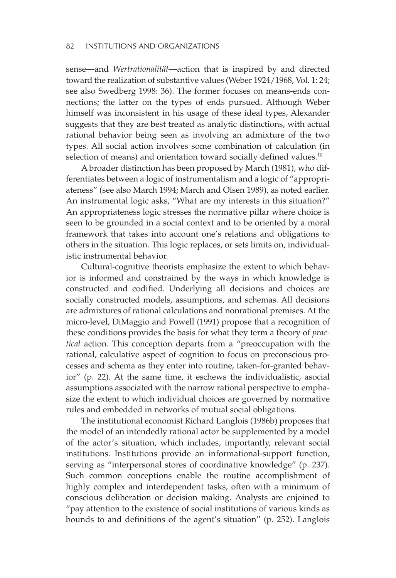sense—and *Wertrationalität—*action that is inspired by and directed toward the realization of substantive values (Weber 1924/1968, Vol. 1: 24; see also Swedberg 1998: 36). The former focuses on means-ends connections; the latter on the types of ends pursued. Although Weber himself was inconsistent in his usage of these ideal types, Alexander suggests that they are best treated as analytic distinctions, with actual rational behavior being seen as involving an admixture of the two types. All social action involves some combination of calculation (in selection of means) and orientation toward socially defined values.<sup>10</sup>

A broader distinction has been proposed by March (1981), who differentiates between a logic of instrumentalism and a logic of "appropriateness" (see also March 1994; March and Olsen 1989), as noted earlier. An instrumental logic asks, "What are my interests in this situation?" An appropriateness logic stresses the normative pillar where choice is seen to be grounded in a social context and to be oriented by a moral framework that takes into account one's relations and obligations to others in the situation. This logic replaces, or sets limits on, individualistic instrumental behavior.

Cultural-cognitive theorists emphasize the extent to which behavior is informed and constrained by the ways in which knowledge is constructed and codified. Underlying all decisions and choices are socially constructed models, assumptions, and schemas. All decisions are admixtures of rational calculations and nonrational premises. At the micro-level, DiMaggio and Powell (1991) propose that a recognition of these conditions provides the basis for what they term a theory of *practical* action. This conception departs from a "preoccupation with the rational, calculative aspect of cognition to focus on preconscious processes and schema as they enter into routine, taken-for-granted behavior" (p. 22). At the same time, it eschews the individualistic, asocial assumptions associated with the narrow rational perspective to emphasize the extent to which individual choices are governed by normative rules and embedded in networks of mutual social obligations.

The institutional economist Richard Langlois (1986b) proposes that the model of an intendedly rational actor be supplemented by a model of the actor's situation, which includes, importantly, relevant social institutions. Institutions provide an informational-support function, serving as "interpersonal stores of coordinative knowledge" (p. 237). Such common conceptions enable the routine accomplishment of highly complex and interdependent tasks, often with a minimum of conscious deliberation or decision making. Analysts are enjoined to "pay attention to the existence of social institutions of various kinds as bounds to and definitions of the agent's situation" (p. 252). Langlois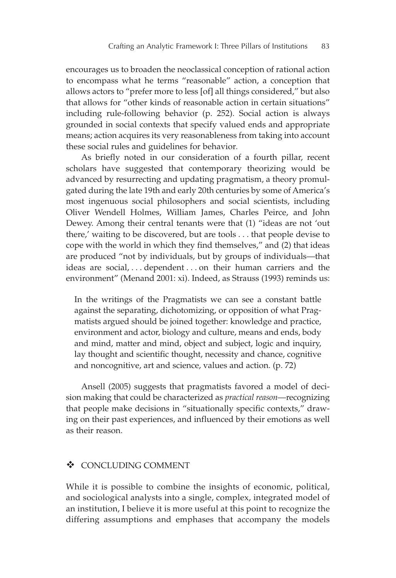encourages us to broaden the neoclassical conception of rational action to encompass what he terms "reasonable" action, a conception that allows actors to "prefer more to less [of] all things considered," but also that allows for "other kinds of reasonable action in certain situations" including rule-following behavior (p. 252). Social action is always grounded in social contexts that specify valued ends and appropriate means; action acquires its very reasonableness from taking into account these social rules and guidelines for behavior*.*

As briefly noted in our consideration of a fourth pillar, recent scholars have suggested that contemporary theorizing would be advanced by resurrecting and updating pragmatism, a theory promulgated during the late 19th and early 20th centuries by some of America's most ingenuous social philosophers and social scientists, including Oliver Wendell Holmes, William James, Charles Peirce, and John Dewey. Among their central tenants were that (1) "ideas are not 'out there,' waiting to be discovered, but are tools . . . that people devise to cope with the world in which they find themselves," and (2) that ideas are produced "not by individuals, but by groups of individuals—that ideas are social, . . . dependent . . . on their human carriers and the environment" (Menand 2001: xi). Indeed, as Strauss (1993) reminds us:

In the writings of the Pragmatists we can see a constant battle against the separating, dichotomizing, or opposition of what Pragmatists argued should be joined together: knowledge and practice, environment and actor, biology and culture, means and ends, body and mind, matter and mind, object and subject, logic and inquiry, lay thought and scientific thought, necessity and chance, cognitive and noncognitive, art and science, values and action. (p. 72)

Ansell (2005) suggests that pragmatists favored a model of decision making that could be characterized as *practical reason*—recognizing that people make decisions in "situationally specific contexts," drawing on their past experiences, and influenced by their emotions as well as their reason.

# **❖** CONCLUDING COMMENT

While it is possible to combine the insights of economic, political, and sociological analysts into a single, complex, integrated model of an institution, I believe it is more useful at this point to recognize the differing assumptions and emphases that accompany the models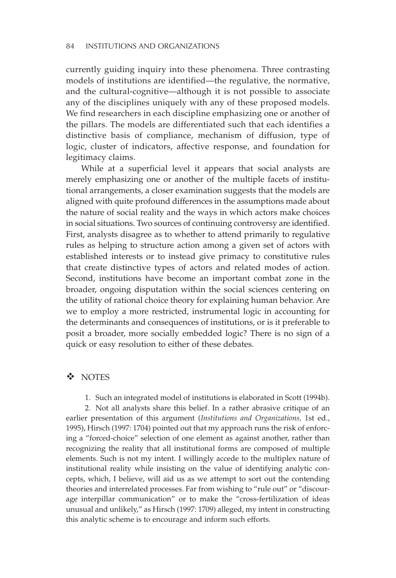currently guiding inquiry into these phenomena. Three contrasting models of institutions are identified—the regulative, the normative, and the cultural-cognitive—although it is not possible to associate any of the disciplines uniquely with any of these proposed models. We find researchers in each discipline emphasizing one or another of the pillars. The models are differentiated such that each identifies a distinctive basis of compliance, mechanism of diffusion, type of logic, cluster of indicators, affective response, and foundation for legitimacy claims.

While at a superficial level it appears that social analysts are merely emphasizing one or another of the multiple facets of institutional arrangements, a closer examination suggests that the models are aligned with quite profound differences in the assumptions made about the nature of social reality and the ways in which actors make choices in social situations. Two sources of continuing controversy are identified. First, analysts disagree as to whether to attend primarily to regulative rules as helping to structure action among a given set of actors with established interests or to instead give primacy to constitutive rules that create distinctive types of actors and related modes of action. Second, institutions have become an important combat zone in the broader, ongoing disputation within the social sciences centering on the utility of rational choice theory for explaining human behavior. Are we to employ a more restricted, instrumental logic in accounting for the determinants and consequences of institutions, or is it preferable to posit a broader, more socially embedded logic? There is no sign of a quick or easy resolution to either of these debates.

# NOTES

1. Such an integrated model of institutions is elaborated in Scott (1994b).

2. Not all analysts share this belief. In a rather abrasive critique of an earlier presentation of this argument (*Institutions and Organizations,* 1st ed., 1995), Hirsch (1997: 1704) pointed out that my approach runs the risk of enforcing a "forced-choice" selection of one element as against another, rather than recognizing the reality that all institutional forms are composed of multiple elements. Such is not my intent. I willingly accede to the multiplex nature of institutional reality while insisting on the value of identifying analytic concepts, which, I believe, will aid us as we attempt to sort out the contending theories and interrelated processes. Far from wishing to "rule out" or "discourage interpillar communication" or to make the "cross-fertilization of ideas unusual and unlikely," as Hirsch (1997: 1709) alleged, my intent in constructing this analytic scheme is to encourage and inform such efforts.